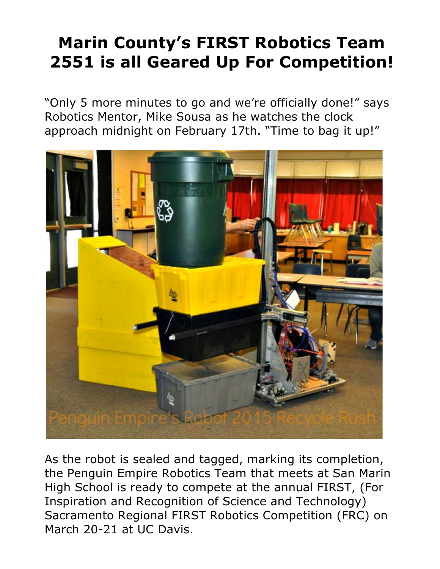## **Marin County's FIRST Robotics Team 2551 is all Geared Up For Competition!**

"Only 5 more minutes to go and we're officially done!" says Robotics Mentor, Mike Sousa as he watches the clock approach midnight on February 17th. "Time to bag it up!"



As the robot is sealed and tagged, marking its completion, the Penguin Empire Robotics Team that meets at San Marin High School is ready to compete at the annual FIRST, (For Inspiration and Recognition of Science and Technology) Sacramento Regional FIRST Robotics Competition (FRC) on March 20-21 at UC Davis.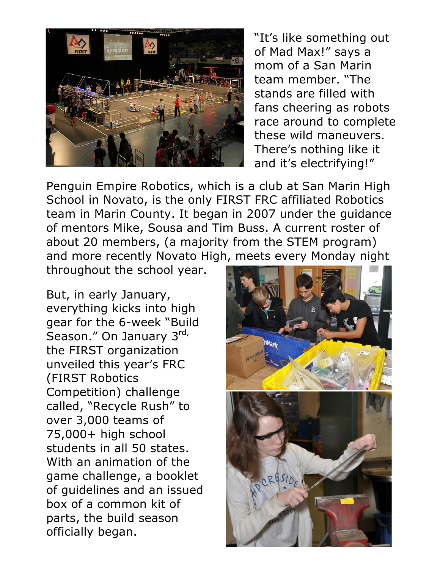

"It's like something out of Mad Max!" says a mom of a San Marin team member. "The stands are filled with fans cheering as robots race around to complete these wild maneuvers. There's nothing like it and it's electrifying!"

Penguin Empire Robotics, which is a club at San Marin High School in Novato, is the only FIRST FRC affiliated Robotics team in Marin County. It began in 2007 under the guidance of mentors Mike, Sousa and Tim Buss. A current roster of about 20 members, (a majority from the STEM program) and more recently Novato High, meets every Monday night

throughout the school year.

But, in early January, everything kicks into high gear for the 6-week "Build Season." On January 3rd, the FIRST organization unveiled this year's FRC (FIRST Robotics Competition) challenge called, "Recycle Rush" to over 3,000 teams of 75,000+ high school students in all 50 states. With an animation of the game challenge, a booklet of guidelines and an issued box of a common kit of parts, the build season officially began.

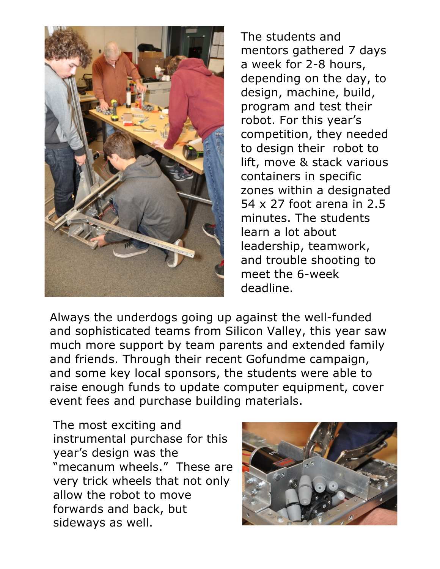

The students and mentors gathered 7 days a week for 2-8 hours, depending on the day, to design, machine, build, program and test their robot. For this year's competition, they needed to design their robot to lift, move & stack various containers in specific zones within a designated 54 x 27 foot arena in 2.5 minutes. The students learn a lot about leadership, teamwork, and trouble shooting to meet the 6-week deadline.

Always the underdogs going up against the well-funded and sophisticated teams from Silicon Valley, this year saw much more support by team parents and extended family and friends. Through their recent Gofundme campaign, and some key local sponsors, the students were able to raise enough funds to update computer equipment, cover event fees and purchase building materials.

The most exciting and instrumental purchase for this year's design was the "mecanum wheels." These are very trick wheels that not only allow the robot to move forwards and back, but sideways as well.

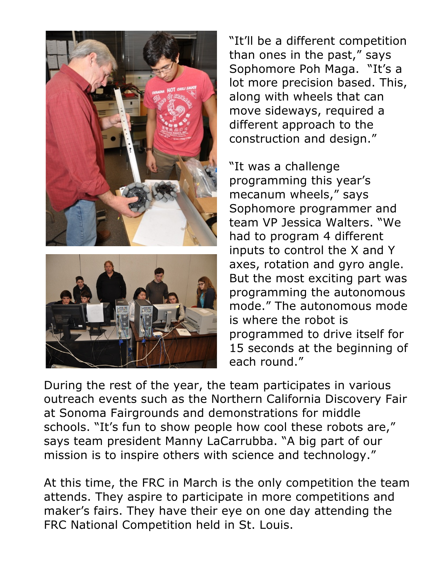



"It'll be a different competition than ones in the past," says Sophomore Poh Maga. "It's a lot more precision based. This, along with wheels that can move sideways, required a different approach to the construction and design."

"It was a challenge programming this year's mecanum wheels," says Sophomore programmer and team VP Jessica Walters. "We had to program 4 different inputs to control the X and Y axes, rotation and gyro angle. But the most exciting part was programming the autonomous mode." The autonomous mode is where the robot is programmed to drive itself for 15 seconds at the beginning of each round."

During the rest of the year, the team participates in various outreach events such as the Northern California Discovery Fair at Sonoma Fairgrounds and demonstrations for middle schools. "It's fun to show people how cool these robots are," says team president Manny LaCarrubba. "A big part of our mission is to inspire others with science and technology."

At this time, the FRC in March is the only competition the team attends. They aspire to participate in more competitions and maker's fairs. They have their eye on one day attending the FRC National Competition held in St. Louis.